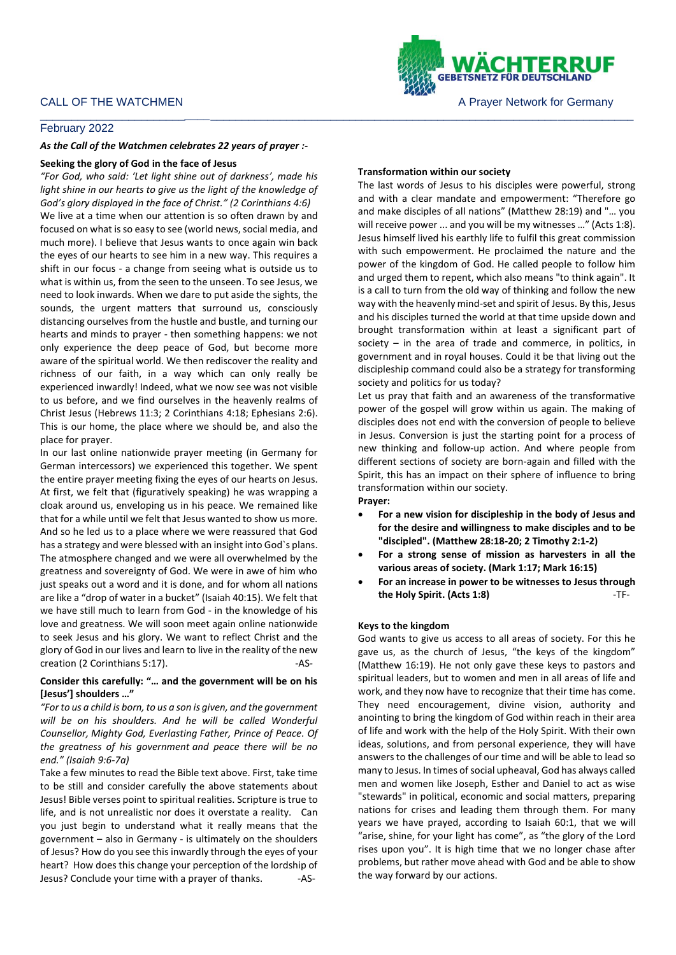

## \_\_\_\_\_\_\_\_\_\_\_\_\_\_\_\_\_\_\_\_\_\_\_*\_\_\_\_*\_\_\_\_\_\_\_\_\_\_\_\_\_\_\_\_\_\_\_\_\_\_\_\_\_\_\_\_\_\_\_\_\_\_\_\_\_\_\_\_\_\_\_\_\_\_\_\_\_\_\_\_\_\_\_\_\_\_\_\_\_\_\_\_\_\_\_ February 2022

# *As the Call of the Watchmen celebrates 22 years of prayer :-*

## **Seeking the glory of God in the face of Jesus**

*"For God, who said: 'Let light shine out of darkness', made his light shine in our hearts to give us the light of the knowledge of God's glory displayed in the face of Christ." (2 Corinthians 4:6)* We live at a time when our attention is so often drawn by and focused on what is so easy to see (world news, social media, and much more). I believe that Jesus wants to once again win back the eyes of our hearts to see him in a new way. This requires a shift in our focus - a change from seeing what is outside us to what is within us, from the seen to the unseen. To see Jesus, we need to look inwards. When we dare to put aside the sights, the sounds, the urgent matters that surround us, consciously distancing ourselves from the hustle and bustle, and turning our hearts and minds to prayer - then something happens: we not only experience the deep peace of God, but become more aware of the spiritual world. We then rediscover the reality and richness of our faith, in a way which can only really be experienced inwardly! Indeed, what we now see was not visible to us before, and we find ourselves in the heavenly realms of Christ Jesus (Hebrews 11:3; 2 Corinthians 4:18; Ephesians 2:6). This is our home, the place where we should be, and also the place for prayer.

In our last online nationwide prayer meeting (in Germany for German intercessors) we experienced this together. We spent the entire prayer meeting fixing the eyes of our hearts on Jesus. At first, we felt that (figuratively speaking) he was wrapping a cloak around us, enveloping us in his peace. We remained like that for a while until we felt that Jesus wanted to show us more. And so he led us to a place where we were reassured that God has a strategy and were blessed with an insight into God`s plans. The atmosphere changed and we were all overwhelmed by the greatness and sovereignty of God. We were in awe of him who just speaks out a word and it is done, and for whom all nations are like a "drop of water in a bucket" (Isaiah 40:15). We felt that we have still much to learn from God - in the knowledge of his love and greatness. We will soon meet again online nationwide to seek Jesus and his glory. We want to reflect Christ and the glory of God in our lives and learn to live in the reality of the new creation (2 Corinthians 5:17). The same state of the set of the set of the set of the set of the set of the set of the set of the set of the set of the set of the set of the set of the set of the set of the set of the set

## **Consider this carefully: "… and the government will be on his [Jesus'] shoulders …"**

*"For to us a child is born, to us a son is given, and the government will be on his shoulders. And he will be called Wonderful Counsellor, Mighty God, Everlasting Father, Prince of Peace. Of the greatness of his government and peace there will be no end." (Isaiah 9:6-7a)*

Take a few minutes to read the Bible text above. First, take time to be still and consider carefully the above statements about Jesus! Bible verses point to spiritual realities. Scripture is true to life, and is not unrealistic nor does it overstate a reality. Can you just begin to understand what it really means that the government – also in Germany - is ultimately on the shoulders of Jesus? How do you see this inwardly through the eyes of your heart? How does this change your perception of the lordship of Jesus? Conclude your time with a prayer of thanks. -- AS-

## **Transformation within our society**

The last words of Jesus to his disciples were powerful, strong and with a clear mandate and empowerment: "Therefore go and make disciples of all nations" (Matthew 28:19) and "… you will receive power ... and you will be my witnesses …" (Acts 1:8). Jesus himself lived his earthly life to fulfil this great commission with such empowerment. He proclaimed the nature and the power of the kingdom of God. He called people to follow him and urged them to repent, which also means "to think again". It is a call to turn from the old way of thinking and follow the new way with the heavenly mind-set and spirit of Jesus. By this, Jesus and his disciples turned the world at that time upside down and brought transformation within at least a significant part of society – in the area of trade and commerce, in politics, in government and in royal houses. Could it be that living out the discipleship command could also be a strategy for transforming society and politics for us today?

Let us pray that faith and an awareness of the transformative power of the gospel will grow within us again. The making of disciples does not end with the conversion of people to believe in Jesus. Conversion is just the starting point for a process of new thinking and follow-up action. And where people from different sections of society are born-again and filled with the Spirit, this has an impact on their sphere of influence to bring transformation within our society.

**Prayer:**

- **For a new vision for discipleship in the body of Jesus and for the desire and willingness to make disciples and to be "discipled". (Matthew 28:18-20; 2 Timothy 2:1-2)**
- **For a strong sense of mission as harvesters in all the various areas of society. (Mark 1:17; Mark 16:15)**
- **For an increase in power to be witnesses to Jesus through the Holy Spirit. (Acts 1:8)** -TF-

### **Keys to the kingdom**

God wants to give us access to all areas of society. For this he gave us, as the church of Jesus, "the keys of the kingdom" (Matthew 16:19). He not only gave these keys to pastors and spiritual leaders, but to women and men in all areas of life and work, and they now have to recognize that their time has come. They need encouragement, divine vision, authority and anointing to bring the kingdom of God within reach in their area of life and work with the help of the Holy Spirit. With their own ideas, solutions, and from personal experience, they will have answers to the challenges of our time and will be able to lead so many to Jesus. In times of social upheaval, God has always called men and women like Joseph, Esther and Daniel to act as wise "stewards" in political, economic and social matters, preparing nations for crises and leading them through them. For many years we have prayed, according to Isaiah 60:1, that we will "arise, shine, for your light has come", as "the glory of the Lord rises upon you". It is high time that we no longer chase after problems, but rather move ahead with God and be able to show the way forward by our actions.